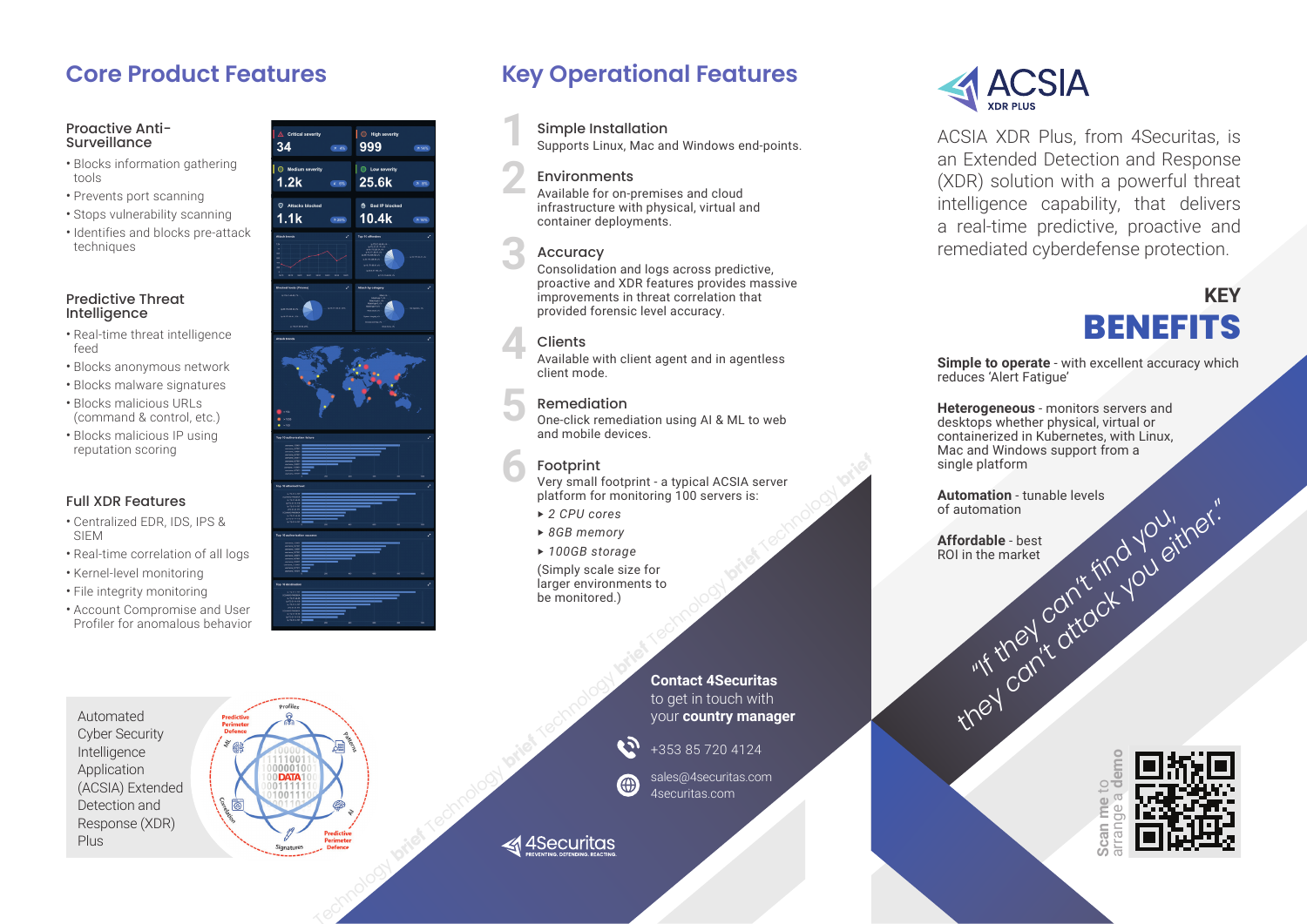#### Proactive Anti-**Surveillance**

- Blocks information gathering tools
- Prevents port scanning
- Stops vulnerability scanning
- Identifies and blocks pre-attack techniques

#### Predictive Threat Intelligence

- Real-time threat intelligence feed
- Blocks anonymous network
- Blocks malware signatures
- Blocks malicious URLs (command & control, etc.)
- Blocks malicious IP using reputation scoring

### Full XDR Features

- Centralized EDR, IDS, IPS & SIEM
- Real-time correlation of all logs
- Kernel-level monitoring
- File integrity monitoring
- Account Compromise and User



# **Core Product Features Key Operational Features**

### Simple Installation

Supports Linux, Mac and Windows end-points.

#### Environments

**1**

**2**

Available for on-premises and cloud infrastructure with physical, virtual and container deployments.

# Accuracy **3**

Consolidation and logs across predictive, proactive and XDR features provides massive improvements in threat correlation that provided forensic level accuracy.

# Clients **4**

Available with client agent and in agentless client mode.

# Remediation **5**

One-click remediation using AI & ML to web and mobile devices.

# Footprint **6**

Very small footprint - a typical ACSIA server platform for monitoring 100 servers is:

- ‣ *2 CPU cores*
- ‣ *8GB memory*
- ‣ *100GB storage*

(Simply scale size for larger environments to be monitored.)

> **Contact 4Securitas** to get in touch with

+353 85 720 4124

4securitas.com sales@4securitas.com



ACSIA XDR Plus, from 4Securitas, is an Extended Detection and Response (XDR) solution with a powerful threat intelligence capability, that delivers a real-time predictive, proactive and remediated cyberdefense protection.

# **KEY BENEFITS**

**Simple to operate** - with excellent accuracy which reduces 'Alert Fatigue'

**Heterogeneous** - monitors servers and desktops whether physical, virtual or containerized in Kubernetes, with Linux, Mac and Windows support from a single platform

**Automation** - tunable levels of automation

**Affordable** - best ROI in the market **they can't attack you explored the market you explored the market of the state of the state of the state of the state of the state of the state of the state of the state of the state of the state of the state of the state** 

> **Scan me** to arrange a **demo**



Cyber Security Intelligence Application (ACSIA) Extended Detection and Response (XDR) Plus